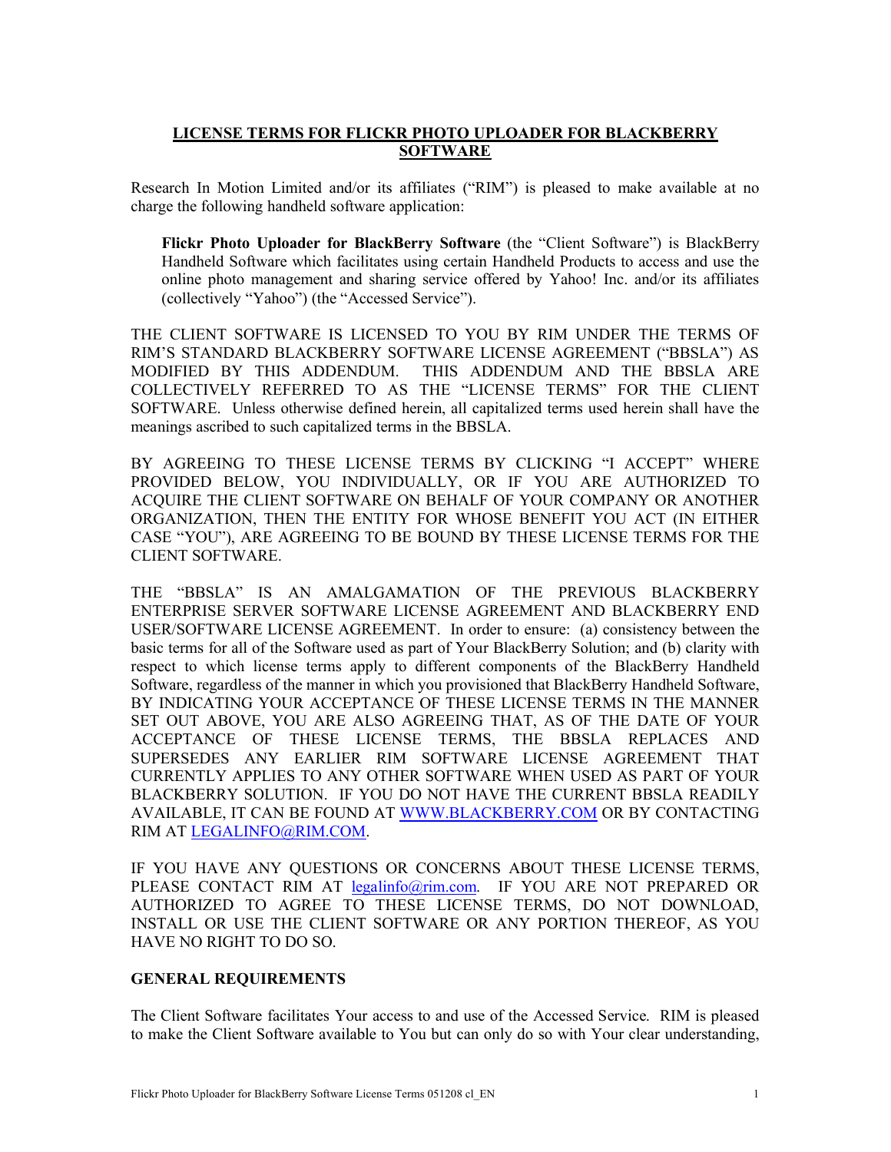## **LICENSE TERMS FOR FLICKR PHOTO UPLOADER FOR BLACKBERRY SOFTWARE**

Research In Motion Limited and/or its affiliates ("RIM") is pleased to make available at no charge the following handheld software application:

**Flickr Photo Uploader for BlackBerry Software** (the "Client Software") is BlackBerry Handheld Software which facilitates using certain Handheld Products to access and use the online photo management and sharing service offered by Yahoo! Inc. and/or its affiliates (collectively "Yahoo") (the "Accessed Service").

THE CLIENT SOFTWARE IS LICENSED TO YOU BY RIM UNDER THE TERMS OF RIM'S STANDARD BLACKBERRY SOFTWARE LICENSE AGREEMENT ("BBSLA") AS MODIFIED BY THIS ADDENDUM. THIS ADDENDUM AND THE BBSLA ARE COLLECTIVELY REFERRED TO AS THE "LICENSE TERMS" FOR THE CLIENT SOFTWARE. Unless otherwise defined herein, all capitalized terms used herein shall have the meanings ascribed to such capitalized terms in the BBSLA.

BY AGREEING TO THESE LICENSE TERMS BY CLICKING "I ACCEPT" WHERE PROVIDED BELOW, YOU INDIVIDUALLY, OR IF YOU ARE AUTHORIZED TO ACQUIRE THE CLIENT SOFTWARE ON BEHALF OF YOUR COMPANY OR ANOTHER ORGANIZATION, THEN THE ENTITY FOR WHOSE BENEFIT YOU ACT (IN EITHER CASE "YOU"), ARE AGREEING TO BE BOUND BY THESE LICENSE TERMS FOR THE CLIENT SOFTWARE.

THE "BBSLA" IS AN AMALGAMATION OF THE PREVIOUS BLACKBERRY ENTERPRISE SERVER SOFTWARE LICENSE AGREEMENT AND BLACKBERRY END USER/SOFTWARE LICENSE AGREEMENT. In order to ensure: (a) consistency between the basic terms for all of the Software used as part of Your BlackBerry Solution; and (b) clarity with respect to which license terms apply to different components of the BlackBerry Handheld Software, regardless of the manner in which you provisioned that BlackBerry Handheld Software, BY INDICATING YOUR ACCEPTANCE OF THESE LICENSE TERMS IN THE MANNER SET OUT ABOVE, YOU ARE ALSO AGREEING THAT, AS OF THE DATE OF YOUR ACCEPTANCE OF THESE LICENSE TERMS, THE BBSLA REPLACES AND SUPERSEDES ANY EARLIER RIM SOFTWARE LICENSE AGREEMENT THAT CURRENTLY APPLIES TO ANY OTHER SOFTWARE WHEN USED AS PART OF YOUR BLACKBERRY SOLUTION. IF YOU DO NOT HAVE THE CURRENT BBSLA READILY AVAILABLE, IT CAN BE FOUND AT WWW.BLACKBERRY.COM OR BY CONTACTING RIM AT LEGALINFO@RIM.COM.

IF YOU HAVE ANY QUESTIONS OR CONCERNS ABOUT THESE LICENSE TERMS, PLEASE CONTACT RIM AT legalinfo@rim.com. IF YOU ARE NOT PREPARED OR AUTHORIZED TO AGREE TO THESE LICENSE TERMS, DO NOT DOWNLOAD, INSTALL OR USE THE CLIENT SOFTWARE OR ANY PORTION THEREOF, AS YOU HAVE NO RIGHT TO DO SO.

## **GENERAL REQUIREMENTS**

The Client Software facilitates Your access to and use of the Accessed Service. RIM is pleased to make the Client Software available to You but can only do so with Your clear understanding,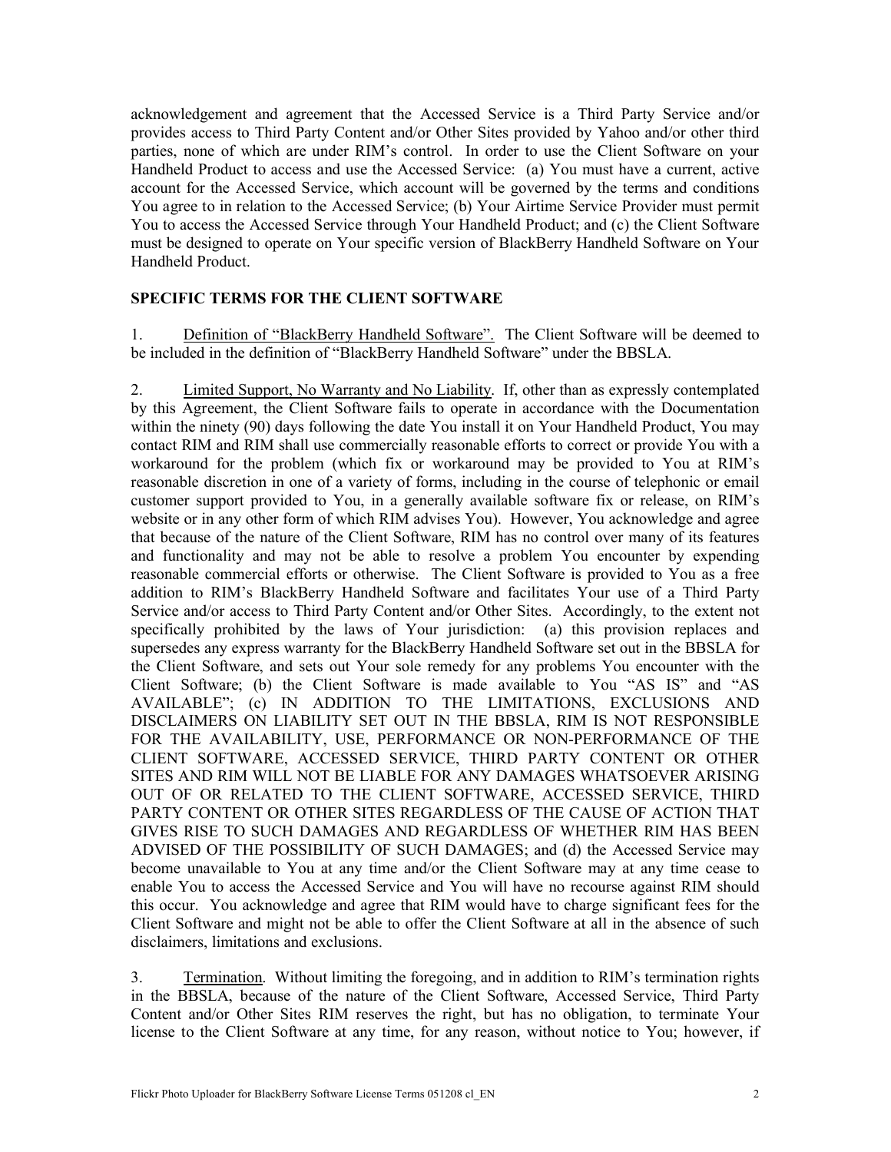acknowledgement and agreement that the Accessed Service is a Third Party Service and/or provides access to Third Party Content and/or Other Sites provided by Yahoo and/or other third parties, none of which are under RIM's control. In order to use the Client Software on your Handheld Product to access and use the Accessed Service: (a) You must have a current, active account for the Accessed Service, which account will be governed by the terms and conditions You agree to in relation to the Accessed Service; (b) Your Airtime Service Provider must permit You to access the Accessed Service through Your Handheld Product; and (c) the Client Software must be designed to operate on Your specific version of BlackBerry Handheld Software on Your Handheld Product.

## **SPECIFIC TERMS FOR THE CLIENT SOFTWARE**

1. Definition of "BlackBerry Handheld Software". The Client Software will be deemed to be included in the definition of "BlackBerry Handheld Software" under the BBSLA.

2. Limited Support, No Warranty and No Liability. If, other than as expressly contemplated by this Agreement, the Client Software fails to operate in accordance with the Documentation within the ninety (90) days following the date You install it on Your Handheld Product, You may contact RIM and RIM shall use commercially reasonable efforts to correct or provide You with a workaround for the problem (which fix or workaround may be provided to You at RIM's reasonable discretion in one of a variety of forms, including in the course of telephonic or email customer support provided to You, in a generally available software fix or release, on RIM's website or in any other form of which RIM advises You). However, You acknowledge and agree that because of the nature of the Client Software, RIM has no control over many of its features and functionality and may not be able to resolve a problem You encounter by expending reasonable commercial efforts or otherwise. The Client Software is provided to You as a free addition to RIM's BlackBerry Handheld Software and facilitates Your use of a Third Party Service and/or access to Third Party Content and/or Other Sites. Accordingly, to the extent not specifically prohibited by the laws of Your jurisdiction: (a) this provision replaces and supersedes any express warranty for the BlackBerry Handheld Software set out in the BBSLA for the Client Software, and sets out Your sole remedy for any problems You encounter with the Client Software; (b) the Client Software is made available to You "AS IS" and "AS AVAILABLE"; (c) IN ADDITION TO THE LIMITATIONS, EXCLUSIONS AND DISCLAIMERS ON LIABILITY SET OUT IN THE BBSLA, RIM IS NOT RESPONSIBLE FOR THE AVAILABILITY, USE, PERFORMANCE OR NON-PERFORMANCE OF THE CLIENT SOFTWARE, ACCESSED SERVICE, THIRD PARTY CONTENT OR OTHER SITES AND RIM WILL NOT BE LIABLE FOR ANY DAMAGES WHATSOEVER ARISING OUT OF OR RELATED TO THE CLIENT SOFTWARE, ACCESSED SERVICE, THIRD PARTY CONTENT OR OTHER SITES REGARDLESS OF THE CAUSE OF ACTION THAT GIVES RISE TO SUCH DAMAGES AND REGARDLESS OF WHETHER RIM HAS BEEN ADVISED OF THE POSSIBILITY OF SUCH DAMAGES; and (d) the Accessed Service may become unavailable to You at any time and/or the Client Software may at any time cease to enable You to access the Accessed Service and You will have no recourse against RIM should this occur. You acknowledge and agree that RIM would have to charge significant fees for the Client Software and might not be able to offer the Client Software at all in the absence of such disclaimers, limitations and exclusions.

3. Termination. Without limiting the foregoing, and in addition to RIM's termination rights in the BBSLA, because of the nature of the Client Software, Accessed Service, Third Party Content and/or Other Sites RIM reserves the right, but has no obligation, to terminate Your license to the Client Software at any time, for any reason, without notice to You; however, if